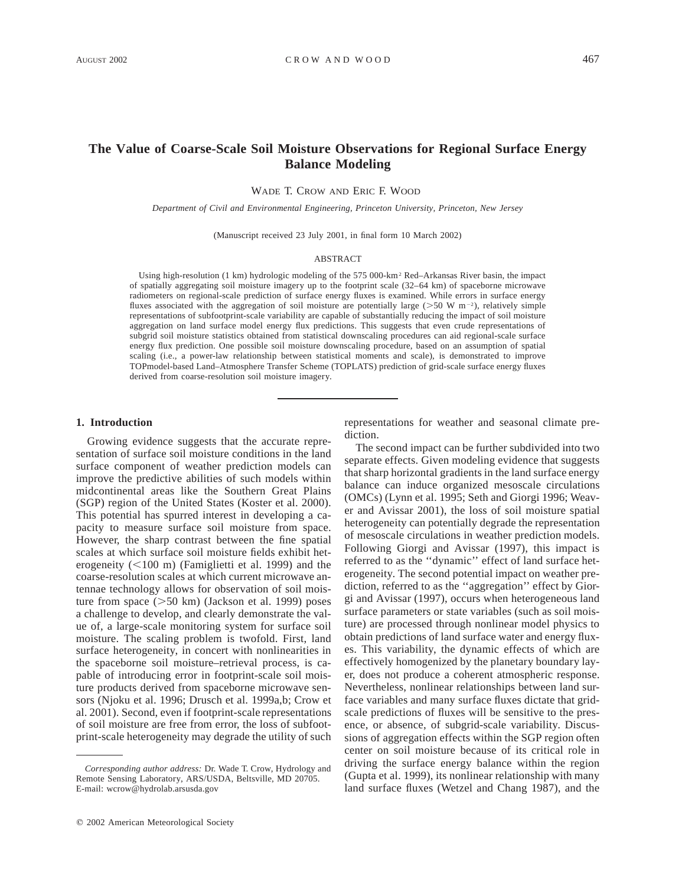# **The Value of Coarse-Scale Soil Moisture Observations for Regional Surface Energy Balance Modeling**

WADE T. CROW AND ERIC F. WOOD

*Department of Civil and Environmental Engineering, Princeton University, Princeton, New Jersey*

(Manuscript received 23 July 2001, in final form 10 March 2002)

#### ABSTRACT

Using high-resolution (1 km) hydrologic modeling of the 575 000-km2 Red–Arkansas River basin, the impact of spatially aggregating soil moisture imagery up to the footprint scale (32–64 km) of spaceborne microwave radiometers on regional-scale prediction of surface energy fluxes is examined. While errors in surface energy fluxes associated with the aggregation of soil moisture are potentially large ( $>50$  W m<sup>-2</sup>), relatively simple representations of subfootprint-scale variability are capable of substantially reducing the impact of soil moisture aggregation on land surface model energy flux predictions. This suggests that even crude representations of subgrid soil moisture statistics obtained from statistical downscaling procedures can aid regional-scale surface energy flux prediction. One possible soil moisture downscaling procedure, based on an assumption of spatial scaling (i.e., a power-law relationship between statistical moments and scale), is demonstrated to improve TOPmodel-based Land–Atmosphere Transfer Scheme (TOPLATS) prediction of grid-scale surface energy fluxes derived from coarse-resolution soil moisture imagery.

## **1. Introduction**

Growing evidence suggests that the accurate representation of surface soil moisture conditions in the land surface component of weather prediction models can improve the predictive abilities of such models within midcontinental areas like the Southern Great Plains (SGP) region of the United States (Koster et al. 2000). This potential has spurred interest in developing a capacity to measure surface soil moisture from space. However, the sharp contrast between the fine spatial scales at which surface soil moisture fields exhibit heterogeneity  $(<100 \text{ m})$  (Famiglietti et al. 1999) and the coarse-resolution scales at which current microwave antennae technology allows for observation of soil moisture from space  $(>=50 \text{ km})$  (Jackson et al. 1999) poses a challenge to develop, and clearly demonstrate the value of, a large-scale monitoring system for surface soil moisture. The scaling problem is twofold. First, land surface heterogeneity, in concert with nonlinearities in the spaceborne soil moisture–retrieval process, is capable of introducing error in footprint-scale soil moisture products derived from spaceborne microwave sensors (Njoku et al. 1996; Drusch et al. 1999a,b; Crow et al. 2001). Second, even if footprint-scale representations of soil moisture are free from error, the loss of subfootprint-scale heterogeneity may degrade the utility of such

representations for weather and seasonal climate prediction.

The second impact can be further subdivided into two separate effects. Given modeling evidence that suggests that sharp horizontal gradients in the land surface energy balance can induce organized mesoscale circulations (OMCs) (Lynn et al. 1995; Seth and Giorgi 1996; Weaver and Avissar 2001), the loss of soil moisture spatial heterogeneity can potentially degrade the representation of mesoscale circulations in weather prediction models. Following Giorgi and Avissar (1997), this impact is referred to as the ''dynamic'' effect of land surface heterogeneity. The second potential impact on weather prediction, referred to as the ''aggregation'' effect by Giorgi and Avissar (1997), occurs when heterogeneous land surface parameters or state variables (such as soil moisture) are processed through nonlinear model physics to obtain predictions of land surface water and energy fluxes. This variability, the dynamic effects of which are effectively homogenized by the planetary boundary layer, does not produce a coherent atmospheric response. Nevertheless, nonlinear relationships between land surface variables and many surface fluxes dictate that gridscale predictions of fluxes will be sensitive to the presence, or absence, of subgrid-scale variability. Discussions of aggregation effects within the SGP region often center on soil moisture because of its critical role in driving the surface energy balance within the region (Gupta et al. 1999), its nonlinear relationship with many land surface fluxes (Wetzel and Chang 1987), and the

*Corresponding author address:* Dr. Wade T. Crow, Hydrology and Remote Sensing Laboratory, ARS/USDA, Beltsville, MD 20705. E-mail: wcrow@hydrolab.arsusda.gov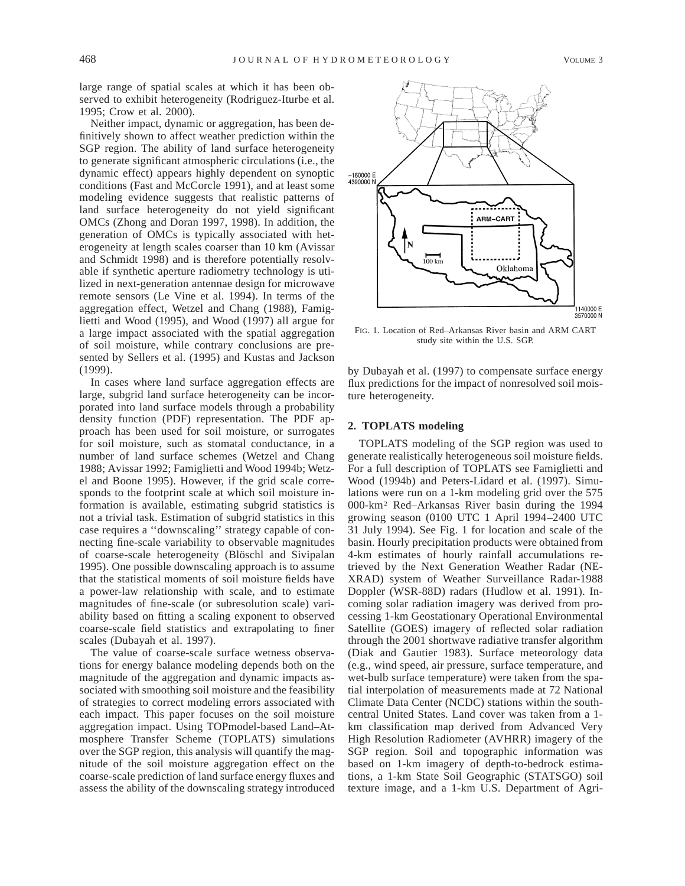large range of spatial scales at which it has been observed to exhibit heterogeneity (Rodriguez-Iturbe et al. 1995; Crow et al. 2000).

Neither impact, dynamic or aggregation, has been definitively shown to affect weather prediction within the SGP region. The ability of land surface heterogeneity to generate significant atmospheric circulations (i.e., the dynamic effect) appears highly dependent on synoptic conditions (Fast and McCorcle 1991), and at least some modeling evidence suggests that realistic patterns of land surface heterogeneity do not yield significant OMCs (Zhong and Doran 1997, 1998). In addition, the generation of OMCs is typically associated with heterogeneity at length scales coarser than 10 km (Avissar and Schmidt 1998) and is therefore potentially resolvable if synthetic aperture radiometry technology is utilized in next-generation antennae design for microwave remote sensors (Le Vine et al. 1994). In terms of the aggregation effect, Wetzel and Chang (1988), Famiglietti and Wood (1995), and Wood (1997) all argue for a large impact associated with the spatial aggregation of soil moisture, while contrary conclusions are presented by Sellers et al. (1995) and Kustas and Jackson (1999).

In cases where land surface aggregation effects are large, subgrid land surface heterogeneity can be incorporated into land surface models through a probability density function (PDF) representation. The PDF approach has been used for soil moisture, or surrogates for soil moisture, such as stomatal conductance, in a number of land surface schemes (Wetzel and Chang 1988; Avissar 1992; Famiglietti and Wood 1994b; Wetzel and Boone 1995). However, if the grid scale corresponds to the footprint scale at which soil moisture information is available, estimating subgrid statistics is not a trivial task. Estimation of subgrid statistics in this case requires a ''downscaling'' strategy capable of connecting fine-scale variability to observable magnitudes of coarse-scale heterogeneity (Blöschl and Sivipalan 1995). One possible downscaling approach is to assume that the statistical moments of soil moisture fields have a power-law relationship with scale, and to estimate magnitudes of fine-scale (or subresolution scale) variability based on fitting a scaling exponent to observed coarse-scale field statistics and extrapolating to finer scales (Dubayah et al. 1997).

The value of coarse-scale surface wetness observations for energy balance modeling depends both on the magnitude of the aggregation and dynamic impacts associated with smoothing soil moisture and the feasibility of strategies to correct modeling errors associated with each impact. This paper focuses on the soil moisture aggregation impact. Using TOPmodel-based Land–Atmosphere Transfer Scheme (TOPLATS) simulations over the SGP region, this analysis will quantify the magnitude of the soil moisture aggregation effect on the coarse-scale prediction of land surface energy fluxes and assess the ability of the downscaling strategy introduced



FIG. 1. Location of Red–Arkansas River basin and ARM CART study site within the U.S. SGP.

by Dubayah et al. (1997) to compensate surface energy flux predictions for the impact of nonresolved soil moisture heterogeneity.

## **2. TOPLATS modeling**

TOPLATS modeling of the SGP region was used to generate realistically heterogeneous soil moisture fields. For a full description of TOPLATS see Famiglietti and Wood (1994b) and Peters-Lidard et al. (1997). Simulations were run on a 1-km modeling grid over the 575 000-km2 Red–Arkansas River basin during the 1994 growing season (0100 UTC 1 April 1994–2400 UTC 31 July 1994). See Fig. 1 for location and scale of the basin. Hourly precipitation products were obtained from 4-km estimates of hourly rainfall accumulations retrieved by the Next Generation Weather Radar (NE-XRAD) system of Weather Surveillance Radar-1988 Doppler (WSR-88D) radars (Hudlow et al. 1991). Incoming solar radiation imagery was derived from processing 1-km Geostationary Operational Environmental Satellite (GOES) imagery of reflected solar radiation through the 2001 shortwave radiative transfer algorithm (Diak and Gautier 1983). Surface meteorology data (e.g., wind speed, air pressure, surface temperature, and wet-bulb surface temperature) were taken from the spatial interpolation of measurements made at 72 National Climate Data Center (NCDC) stations within the southcentral United States. Land cover was taken from a 1 km classification map derived from Advanced Very High Resolution Radiometer (AVHRR) imagery of the SGP region. Soil and topographic information was based on 1-km imagery of depth-to-bedrock estimations, a 1-km State Soil Geographic (STATSGO) soil texture image, and a 1-km U.S. Department of Agri-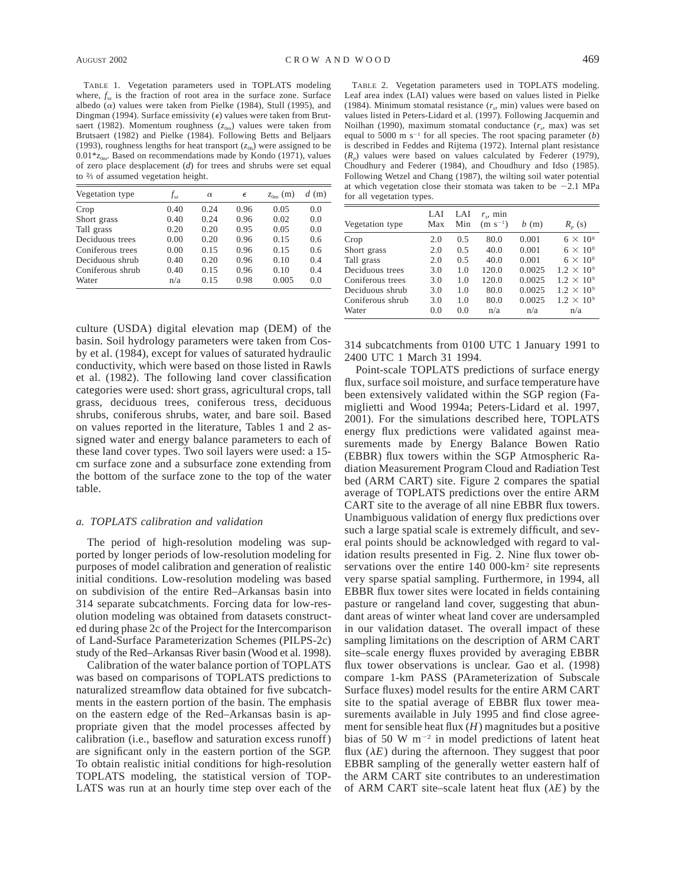TABLE 1. Vegetation parameters used in TOPLATS modeling where,  $f<sub>es</sub>$  is the fraction of root area in the surface zone. Surface albedo  $(\alpha)$  values were taken from Pielke (1984), Stull (1995), and Dingman (1994). Surface emissivity  $(\epsilon)$  values were taken from Brutsaert (1982). Momentum roughness  $(z_{0m})$  values were taken from Brutsaert (1982) and Pielke (1984). Following Betts and Beljaars (1993), roughness lengths for heat transport  $(z<sub>0h</sub>)$  were assigned to be  $0.01*$ <sub>*z*0m</sub>. Based on recommendations made by Kondo (1971), values of zero place desplacement (*d*) for trees and shrubs were set equal to  $\frac{2}{3}$  of assumed vegetation height.

| Vegetation type  | $f_{\rm sz}$ | $\alpha$ | $\epsilon$ | (m)<br>$z_{0m}$ | $d$ (m) |
|------------------|--------------|----------|------------|-----------------|---------|
| Crop             | 0.40         | 0.24     | 0.96       | 0.05            | 0.0     |
| Short grass      | 0.40         | 0.24     | 0.96       | 0.02            | 0.0     |
| Tall grass       | 0.20         | 0.20     | 0.95       | 0.05            | 0.0     |
| Deciduous trees  | 0.00         | 0.20     | 0.96       | 0.15            | 0.6     |
| Coniferous trees | 0.00         | 0.15     | 0.96       | 0.15            | 0.6     |
| Deciduous shrub  | 0.40         | 0.20     | 0.96       | 0.10            | 0.4     |
| Coniferous shrub | 0.40         | 0.15     | 0.96       | 0.10            | 0.4     |
| Water            | n/a          | 0.15     | 0.98       | 0.005           | 0.0     |

culture (USDA) digital elevation map (DEM) of the basin. Soil hydrology parameters were taken from Cosby et al. (1984), except for values of saturated hydraulic conductivity, which were based on those listed in Rawls et al. (1982). The following land cover classification categories were used: short grass, agricultural crops, tall grass, deciduous trees, coniferous tress, deciduous shrubs, coniferous shrubs, water, and bare soil. Based on values reported in the literature, Tables 1 and 2 assigned water and energy balance parameters to each of these land cover types. Two soil layers were used: a 15 cm surface zone and a subsurface zone extending from the bottom of the surface zone to the top of the water table.

#### *a. TOPLATS calibration and validation*

The period of high-resolution modeling was supported by longer periods of low-resolution modeling for purposes of model calibration and generation of realistic initial conditions. Low-resolution modeling was based on subdivision of the entire Red–Arkansas basin into 314 separate subcatchments. Forcing data for low-resolution modeling was obtained from datasets constructed during phase 2c of the Project for the Intercomparison of Land-Surface Parameterization Schemes (PILPS-2c) study of the Red–Arkansas River basin (Wood et al. 1998).

Calibration of the water balance portion of TOPLATS was based on comparisons of TOPLATS predictions to naturalized streamflow data obtained for five subcatchments in the eastern portion of the basin. The emphasis on the eastern edge of the Red–Arkansas basin is appropriate given that the model processes affected by calibration (i.e., baseflow and saturation excess runoff) are significant only in the eastern portion of the SGP. To obtain realistic initial conditions for high-resolution TOPLATS modeling, the statistical version of TOP-LATS was run at an hourly time step over each of the

TABLE 2. Vegetation parameters used in TOPLATS modeling. Leaf area index (LAI) values were based on values listed in Pielke (1984). Minimum stomatal resistance  $(r_s, \text{min})$  values were based on values listed in Peters-Lidard et al. (1997). Following Jacquemin and Noilhan (1990), maximum stomatal conductance  $(r<sub>s</sub>, max)$  was set equal to 5000 m  $s^{-1}$  for all species. The root spacing parameter (*b*) is described in Feddes and Rijtema (1972). Internal plant resistance  $(R_n)$  values were based on values calculated by Federer (1979), Choudhury and Federer (1984), and Choudhury and Idso (1985). Following Wetzel and Chang (1987), the wilting soil water potential at which vegetation close their stomata was taken to be  $-2.1$  MPa for all vegetation types.

| Vegetation type  | LAI<br>Max | LAI<br>Min | $r_{\rm c}$ , min<br>$(m s^{-1})$ | b(m)   | $R_{n}$ (s)         |
|------------------|------------|------------|-----------------------------------|--------|---------------------|
| Crop             | 2.0        | 0.5        | 80.0                              | 0.001  | $6 \times 10^8$     |
| Short grass      | 2.0        | 0.5        | 40.0                              | 0.001  | $6 \times 10^8$     |
| Tall grass       | 2.0        | 0.5        | 40.0                              | 0.001  | $6 \times 10^8$     |
| Deciduous trees  | 3.0        | 1.0        | 120.0                             | 0.0025 | $1.2 \times 10^{9}$ |
| Coniferous trees | 3.0        | 1.0        | 120.0                             | 0.0025 | $1.2 \times 10^{9}$ |
| Deciduous shrub  | 3.0        | 1.0        | 80.0                              | 0.0025 | $1.2 \times 10^{9}$ |
| Coniferous shrub | 3.0        | 1.0        | 80.0                              | 0.0025 | $1.2 \times 10^{9}$ |
| Water            | 0.0        | 0.0        | n/a                               | n/a    | n/a                 |

314 subcatchments from 0100 UTC 1 January 1991 to 2400 UTC 1 March 31 1994.

Point-scale TOPLATS predictions of surface energy flux, surface soil moisture, and surface temperature have been extensively validated within the SGP region (Famiglietti and Wood 1994a; Peters-Lidard et al. 1997, 2001). For the simulations described here, TOPLATS energy flux predictions were validated against measurements made by Energy Balance Bowen Ratio (EBBR) flux towers within the SGP Atmospheric Radiation Measurement Program Cloud and Radiation Test bed (ARM CART) site. Figure 2 compares the spatial average of TOPLATS predictions over the entire ARM CART site to the average of all nine EBBR flux towers. Unambiguous validation of energy flux predictions over such a large spatial scale is extremely difficult, and several points should be acknowledged with regard to validation results presented in Fig. 2. Nine flux tower observations over the entire 140 000-km<sup>2</sup> site represents very sparse spatial sampling. Furthermore, in 1994, all EBBR flux tower sites were located in fields containing pasture or rangeland land cover, suggesting that abundant areas of winter wheat land cover are undersampled in our validation dataset. The overall impact of these sampling limitations on the description of ARM CART site–scale energy fluxes provided by averaging EBBR flux tower observations is unclear. Gao et al. (1998) compare 1-km PASS (PArameterization of Subscale Surface fluxes) model results for the entire ARM CART site to the spatial average of EBBR flux tower measurements available in July 1995 and find close agreement for sensible heat flux (*H*) magnitudes but a positive bias of 50 W  $m^{-2}$  in model predictions of latent heat flux  $(\lambda E)$  during the afternoon. They suggest that poor EBBR sampling of the generally wetter eastern half of the ARM CART site contributes to an underestimation of ARM CART site–scale latent heat flux  $(\lambda E)$  by the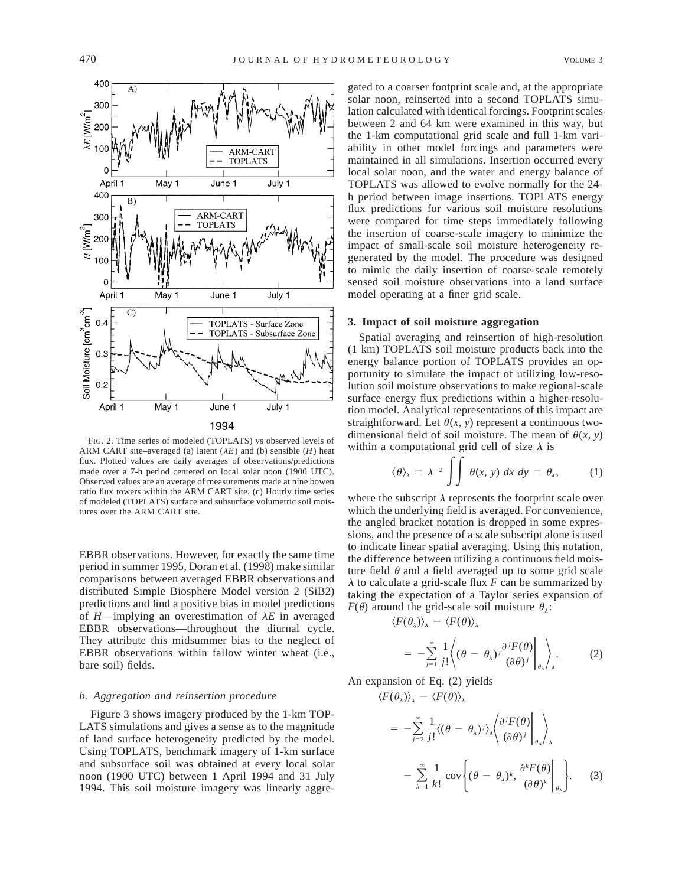

FIG. 2. Time series of modeled (TOPLATS) vs observed levels of ARM CART site–averaged (a) latent  $(\lambda E)$  and (b) sensible  $(H)$  heat flux. Plotted values are daily averages of observations/predictions made over a 7-h period centered on local solar noon (1900 UTC). Observed values are an average of measurements made at nine bowen ratio flux towers within the ARM CART site. (c) Hourly time series of modeled (TOPLATS) surface and subsurface volumetric soil moistures over the ARM CART site.

EBBR observations. However, for exactly the same time period in summer 1995, Doran et al. (1998) make similar comparisons between averaged EBBR observations and distributed Simple Biosphere Model version 2 (SiB2) predictions and find a positive bias in model predictions of  $H$ —implying an overestimation of  $\lambda E$  in averaged EBBR observations—throughout the diurnal cycle. They attribute this midsummer bias to the neglect of EBBR observations within fallow winter wheat (i.e., bare soil) fields.

## *b. Aggregation and reinsertion procedure*

Figure 3 shows imagery produced by the 1-km TOP-LATS simulations and gives a sense as to the magnitude of land surface heterogeneity predicted by the model. Using TOPLATS, benchmark imagery of 1-km surface and subsurface soil was obtained at every local solar noon (1900 UTC) between 1 April 1994 and 31 July 1994. This soil moisture imagery was linearly aggre-

gated to a coarser footprint scale and, at the appropriate solar noon, reinserted into a second TOPLATS simulation calculated with identical forcings. Footprint scales between 2 and 64 km were examined in this way, but the 1-km computational grid scale and full 1-km variability in other model forcings and parameters were maintained in all simulations. Insertion occurred every local solar noon, and the water and energy balance of TOPLATS was allowed to evolve normally for the 24 h period between image insertions. TOPLATS energy flux predictions for various soil moisture resolutions were compared for time steps immediately following the insertion of coarse-scale imagery to minimize the impact of small-scale soil moisture heterogeneity regenerated by the model. The procedure was designed to mimic the daily insertion of coarse-scale remotely sensed soil moisture observations into a land surface model operating at a finer grid scale.

### **3. Impact of soil moisture aggregation**

Spatial averaging and reinsertion of high-resolution (1 km) TOPLATS soil moisture products back into the energy balance portion of TOPLATS provides an opportunity to simulate the impact of utilizing low-resolution soil moisture observations to make regional-scale surface energy flux predictions within a higher-resolution model. Analytical representations of this impact are straightforward. Let  $\theta(x, y)$  represent a continuous twodimensional field of soil moisture. The mean of  $\theta(x, y)$ within a computational grid cell of size  $\lambda$  is

$$
\langle \theta \rangle_{\lambda} = \lambda^{-2} \int \int \theta(x, y) \, dx \, dy = \theta_{\lambda}, \tag{1}
$$

where the subscript  $\lambda$  represents the footprint scale over which the underlying field is averaged. For convenience, the angled bracket notation is dropped in some expressions, and the presence of a scale subscript alone is used to indicate linear spatial averaging. Using this notation, the difference between utilizing a continuous field moisture field  $\theta$  and a field averaged up to some grid scale  $\lambda$  to calculate a grid-scale flux *F* can be summarized by taking the expectation of a Taylor series expansion of  $F(\theta)$  around the grid-scale soil moisture  $\theta_{\lambda}$ :

$$
\langle F(\theta_\lambda)\rangle_\lambda = \langle F(\theta)\rangle_\lambda
$$

$$
= -\sum_{j=1}^{\infty} \frac{1}{j!} \left\langle (\theta - \theta_{\lambda})^{j} \frac{\partial^{j} F(\theta)}{(\partial \theta)^{j}} \bigg|_{\theta_{\lambda}} \right\rangle_{\lambda}.
$$
 (2)

An expansion of Eq. (2) yields  $\langle F(\theta_\lambda)\rangle$ <sub> $\lambda$ </sub> -  $\langle F(\theta)\rangle$ <sub> $\lambda$ </sub>

$$
= -\sum_{j=2}^{\infty} \frac{1}{j!} \langle (\theta - \theta_{\lambda})^j \rangle_{\lambda} \left\langle \frac{\partial^j F(\theta)}{(\partial \theta)^j} \bigg|_{\theta_{\lambda}} \right\rangle_{\lambda}
$$

$$
- \sum_{k=1}^{\infty} \frac{1}{k!} \operatorname{cov} \left\{ (\theta - \theta_{\lambda})^k, \frac{\partial^k F(\theta)}{(\partial \theta)^k} \bigg|_{\theta_{\lambda}} \right\}.
$$
 (3)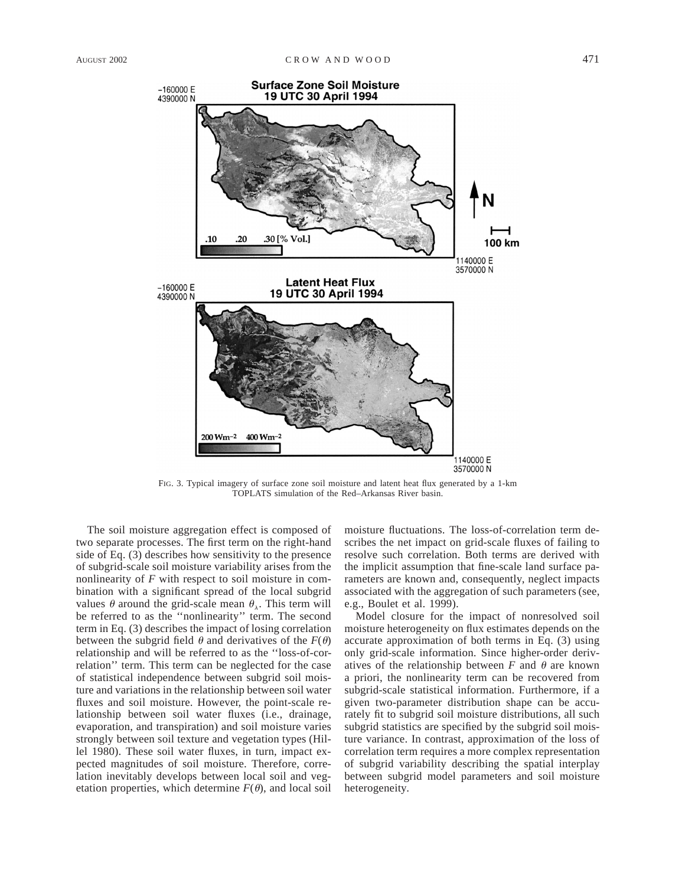

FIG. 3. Typical imagery of surface zone soil moisture and latent heat flux generated by a 1-km TOPLATS simulation of the Red–Arkansas River basin.

The soil moisture aggregation effect is composed of two separate processes. The first term on the right-hand side of Eq. (3) describes how sensitivity to the presence of subgrid-scale soil moisture variability arises from the nonlinearity of *F* with respect to soil moisture in combination with a significant spread of the local subgrid values  $\theta$  around the grid-scale mean  $\theta_{\lambda}$ . This term will be referred to as the ''nonlinearity'' term. The second term in Eq. (3) describes the impact of losing correlation between the subgrid field  $\theta$  and derivatives of the  $F(\theta)$ relationship and will be referred to as the ''loss-of-correlation'' term. This term can be neglected for the case of statistical independence between subgrid soil moisture and variations in the relationship between soil water fluxes and soil moisture. However, the point-scale relationship between soil water fluxes (i.e., drainage, evaporation, and transpiration) and soil moisture varies strongly between soil texture and vegetation types (Hillel 1980). These soil water fluxes, in turn, impact expected magnitudes of soil moisture. Therefore, correlation inevitably develops between local soil and vegetation properties, which determine  $F(\theta)$ , and local soil

moisture fluctuations. The loss-of-correlation term describes the net impact on grid-scale fluxes of failing to resolve such correlation. Both terms are derived with the implicit assumption that fine-scale land surface parameters are known and, consequently, neglect impacts associated with the aggregation of such parameters (see, e.g., Boulet et al. 1999).

Model closure for the impact of nonresolved soil moisture heterogeneity on flux estimates depends on the accurate approximation of both terms in Eq. (3) using only grid-scale information. Since higher-order derivatives of the relationship between  $F$  and  $\theta$  are known a priori, the nonlinearity term can be recovered from subgrid-scale statistical information. Furthermore, if a given two-parameter distribution shape can be accurately fit to subgrid soil moisture distributions, all such subgrid statistics are specified by the subgrid soil moisture variance. In contrast, approximation of the loss of correlation term requires a more complex representation of subgrid variability describing the spatial interplay between subgrid model parameters and soil moisture heterogeneity.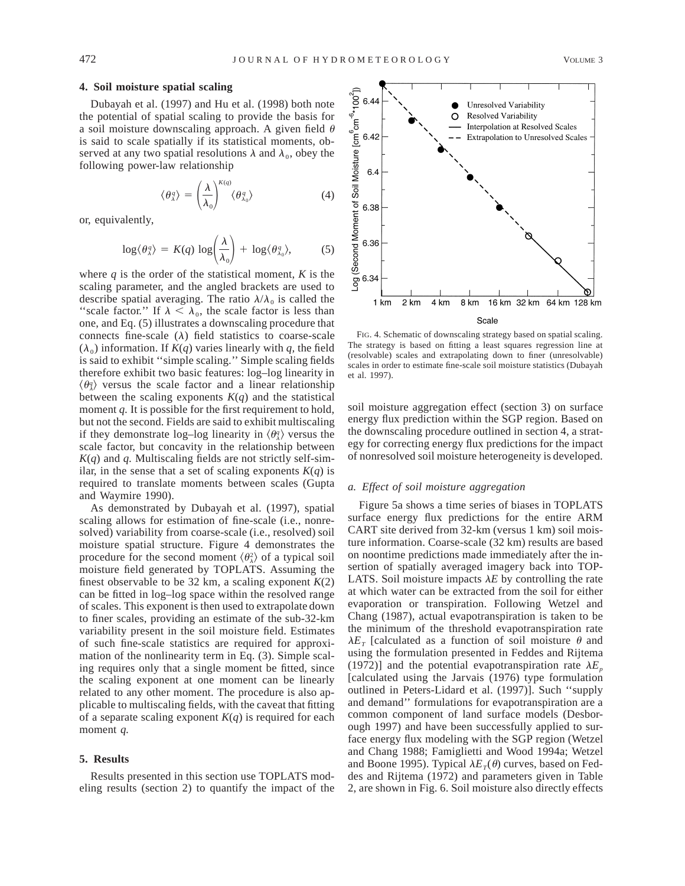#### **4. Soil moisture spatial scaling**

Dubayah et al. (1997) and Hu et al. (1998) both note  $\frac{1}{8}$ <br>
e potential of spatial scaling to provide the basis for  $\frac{1}{4}$ <br>
soil moisture downscaling approach. A given field  $\theta$   $\frac{1}{8}$ <br>
said to scale spatially the potential of spatial scaling to provide the basis for a soil moisture downscaling approach. A given field  $\theta$ is said to scale spatially if its statistical moments, observed at any two spatial resolutions  $\lambda$  and  $\lambda_0$ , obey the following power-law relationship

$$
\langle \theta_{\lambda}^{q} \rangle = \left( \frac{\lambda}{\lambda_{0}} \right)^{K(q)} \langle \theta_{\lambda_{0}}^{q} \rangle \tag{4}
$$

or, equivalently,

$$
\log \langle \theta_{\lambda}^q \rangle = K(q) \, \log \left( \frac{\lambda}{\lambda_0} \right) + \, \log \langle \theta_{\lambda_0}^q \rangle, \tag{5}
$$

where  $q$  is the order of the statistical moment,  $K$  is the scaling parameter, and the angled brackets are used to describe spatial averaging. The ratio  $\lambda/\lambda_0$  is called the "scale factor." If  $\lambda < \lambda_0$ , the scale factor is less than one, and Eq. (5) illustrates a downscaling procedure that connects fine-scale  $(\lambda)$  field statistics to coarse-scale  $(\lambda_0)$  information. If  $K(q)$  varies linearly with q, the field is said to exhibit ''simple scaling.'' Simple scaling fields therefore exhibit two basic features: log–log linearity in  $\langle \theta_3^q \rangle$  versus the scale factor and a linear relationship between the scaling exponents  $K(q)$  and the statistical moment *q*. It is possible for the first requirement to hold, but not the second. Fields are said to exhibit multiscaling if they demonstrate log–log linearity in  $\langle \theta_{\lambda}^q \rangle$  versus the scale factor, but concavity in the relationship between *K*(*q*) and *q.* Multiscaling fields are not strictly self-similar, in the sense that a set of scaling exponents  $K(q)$  is required to translate moments between scales (Gupta and Waymire 1990).

As demonstrated by Dubayah et al. (1997), spatial scaling allows for estimation of fine-scale (i.e., nonresolved) variability from coarse-scale (i.e., resolved) soil moisture spatial structure. Figure 4 demonstrates the procedure for the second moment  $\langle \theta_{\lambda}^2 \rangle$  of a typical soil moisture field generated by TOPLATS. Assuming the finest observable to be 32 km, a scaling exponent  $K(2)$ can be fitted in log–log space within the resolved range of scales. This exponent is then used to extrapolate down to finer scales, providing an estimate of the sub-32-km variability present in the soil moisture field. Estimates of such fine-scale statistics are required for approximation of the nonlinearity term in Eq. (3). Simple scaling requires only that a single moment be fitted, since the scaling exponent at one moment can be linearly related to any other moment. The procedure is also applicable to multiscaling fields, with the caveat that fitting of a separate scaling exponent  $K(q)$  is required for each moment *q.*

#### **5. Results**

Results presented in this section use TOPLATS modeling results (section 2) to quantify the impact of the



FIG. 4. Schematic of downscaling strategy based on spatial scaling. The strategy is based on fitting a least squares regression line at (resolvable) scales and extrapolating down to finer (unresolvable) scales in order to estimate fine-scale soil moisture statistics (Dubayah et al. 1997).

soil moisture aggregation effect (section 3) on surface energy flux prediction within the SGP region. Based on the downscaling procedure outlined in section 4, a strategy for correcting energy flux predictions for the impact of nonresolved soil moisture heterogeneity is developed.

### *a. Effect of soil moisture aggregation*

Figure 5a shows a time series of biases in TOPLATS surface energy flux predictions for the entire ARM CART site derived from 32-km (versus 1 km) soil moisture information. Coarse-scale (32 km) results are based on noontime predictions made immediately after the insertion of spatially averaged imagery back into TOP-LATS. Soil moisture impacts  $\lambda E$  by controlling the rate at which water can be extracted from the soil for either evaporation or transpiration. Following Wetzel and Chang (1987), actual evapotranspiration is taken to be the minimum of the threshold evapotranspiration rate  $\lambda E_T$  [calculated as a function of soil moisture  $\theta$  and using the formulation presented in Feddes and Rijtema (1972)] and the potential evapotranspiration rate  $\lambda E_p$ [calculated using the Jarvais (1976) type formulation outlined in Peters-Lidard et al. (1997)]. Such ''supply and demand'' formulations for evapotranspiration are a common component of land surface models (Desborough 1997) and have been successfully applied to surface energy flux modeling with the SGP region (Wetzel and Chang 1988; Famiglietti and Wood 1994a; Wetzel and Boone 1995). Typical  $\lambda E_T(\theta)$  curves, based on Feddes and Rijtema (1972) and parameters given in Table 2, are shown in Fig. 6. Soil moisture also directly effects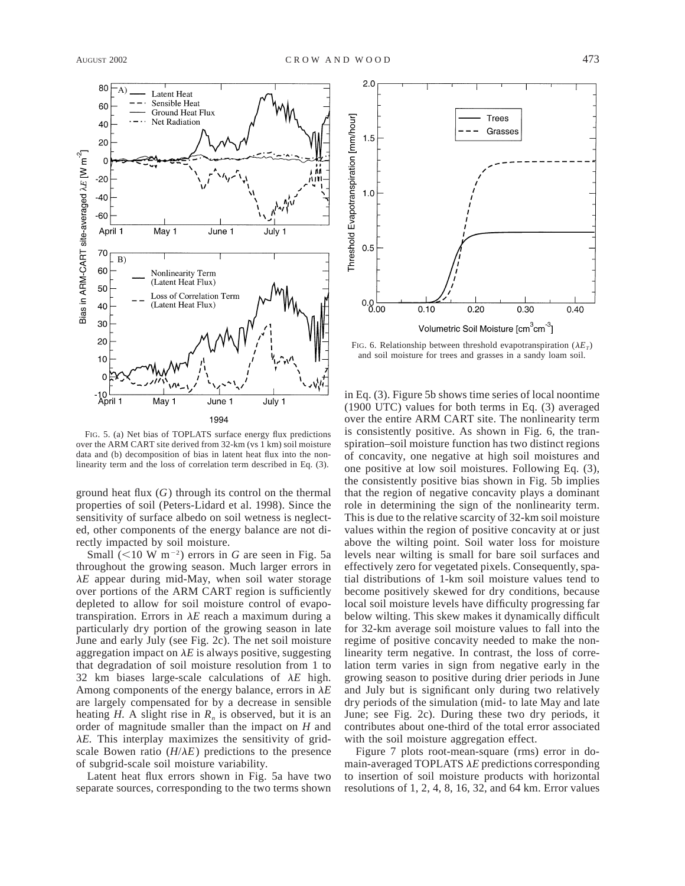

FIG. 5. (a) Net bias of TOPLATS surface energy flux predictions over the ARM CART site derived from 32-km (vs 1 km) soil moisture data and (b) decomposition of bias in latent heat flux into the nonlinearity term and the loss of correlation term described in Eq. (3).

ground heat flux (*G*) through its control on the thermal properties of soil (Peters-Lidard et al. 1998). Since the sensitivity of surface albedo on soil wetness is neglected, other components of the energy balance are not directly impacted by soil moisture.

Small  $(<10 \text{ W m}^{-2})$  errors in *G* are seen in Fig. 5a throughout the growing season. Much larger errors in  $\lambda E$  appear during mid-May, when soil water storage over portions of the ARM CART region is sufficiently depleted to allow for soil moisture control of evapotranspiration. Errors in  $\lambda E$  reach a maximum during a particularly dry portion of the growing season in late June and early July (see Fig. 2c). The net soil moisture aggregation impact on  $\lambda E$  is always positive, suggesting that degradation of soil moisture resolution from 1 to 32 km biases large-scale calculations of  $\lambda E$  high. Among components of the energy balance, errors in  $\lambda E$ are largely compensated for by a decrease in sensible heating  $H$ . A slight rise in  $R_n$  is observed, but it is an order of magnitude smaller than the impact on *H* and  $\lambda E$ . This interplay maximizes the sensitivity of gridscale Bowen ratio  $(H/\lambda E)$  predictions to the presence of subgrid-scale soil moisture variability.

Latent heat flux errors shown in Fig. 5a have two separate sources, corresponding to the two terms shown



FIG. 6. Relationship between threshold evapotranspiration  $(\lambda E_T)$ and soil moisture for trees and grasses in a sandy loam soil.

in Eq. (3). Figure 5b shows time series of local noontime (1900 UTC) values for both terms in Eq. (3) averaged over the entire ARM CART site. The nonlinearity term is consistently positive. As shown in Fig. 6, the transpiration–soil moisture function has two distinct regions of concavity, one negative at high soil moistures and one positive at low soil moistures. Following Eq. (3), the consistently positive bias shown in Fig. 5b implies that the region of negative concavity plays a dominant role in determining the sign of the nonlinearity term. This is due to the relative scarcity of 32-km soil moisture values within the region of positive concavity at or just above the wilting point. Soil water loss for moisture levels near wilting is small for bare soil surfaces and effectively zero for vegetated pixels. Consequently, spatial distributions of 1-km soil moisture values tend to become positively skewed for dry conditions, because local soil moisture levels have difficulty progressing far below wilting. This skew makes it dynamically difficult for 32-km average soil moisture values to fall into the regime of positive concavity needed to make the nonlinearity term negative. In contrast, the loss of correlation term varies in sign from negative early in the growing season to positive during drier periods in June and July but is significant only during two relatively dry periods of the simulation (mid- to late May and late June; see Fig. 2c). During these two dry periods, it contributes about one-third of the total error associated with the soil moisture aggregation effect.

Figure 7 plots root-mean-square (rms) error in domain-averaged TOPLATS  $\lambda E$  predictions corresponding to insertion of soil moisture products with horizontal resolutions of 1, 2, 4, 8, 16, 32, and 64 km. Error values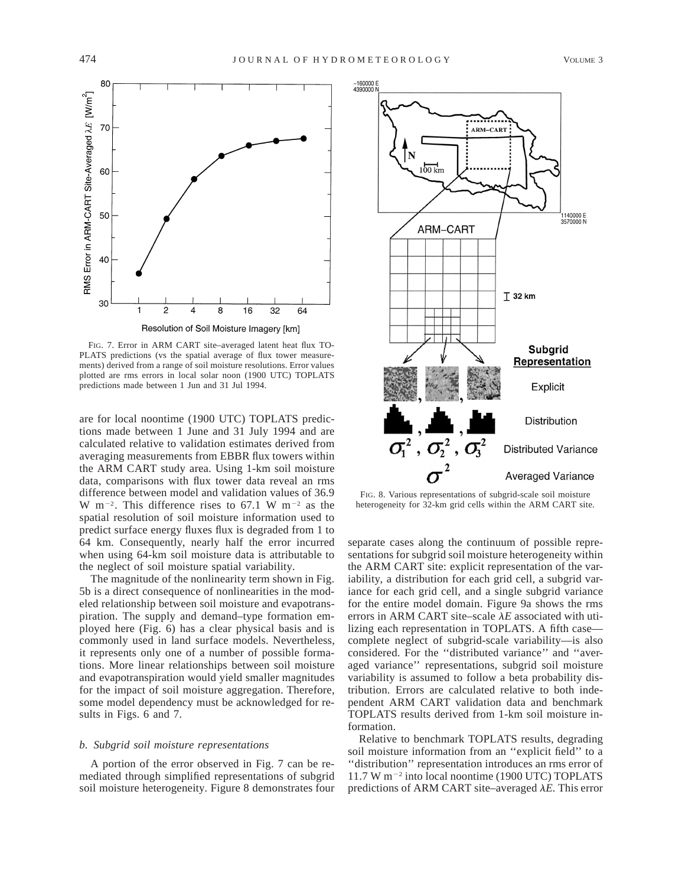

FIG. 7. Error in ARM CART site–averaged latent heat flux TO-PLATS predictions (vs the spatial average of flux tower measurements) derived from a range of soil moisture resolutions. Error values plotted are rms errors in local solar noon (1900 UTC) TOPLATS predictions made between 1 Jun and 31 Jul 1994.

are for local noontime (1900 UTC) TOPLATS predictions made between 1 June and 31 July 1994 and are calculated relative to validation estimates derived from averaging measurements from EBBR flux towers within the ARM CART study area. Using 1-km soil moisture data, comparisons with flux tower data reveal an rms difference between model and validation values of 36.9 W m<sup>-2</sup>. This difference rises to 67.1 W m<sup>-2</sup> as the spatial resolution of soil moisture information used to predict surface energy fluxes flux is degraded from 1 to 64 km. Consequently, nearly half the error incurred when using 64-km soil moisture data is attributable to the neglect of soil moisture spatial variability.

The magnitude of the nonlinearity term shown in Fig. 5b is a direct consequence of nonlinearities in the modeled relationship between soil moisture and evapotranspiration. The supply and demand–type formation employed here (Fig. 6) has a clear physical basis and is commonly used in land surface models. Nevertheless, it represents only one of a number of possible formations. More linear relationships between soil moisture and evapotranspiration would yield smaller magnitudes for the impact of soil moisture aggregation. Therefore, some model dependency must be acknowledged for results in Figs. 6 and 7.

## *b. Subgrid soil moisture representations*

A portion of the error observed in Fig. 7 can be remediated through simplified representations of subgrid soil moisture heterogeneity. Figure 8 demonstrates four



FIG. 8. Various representations of subgrid-scale soil moisture heterogeneity for 32-km grid cells within the ARM CART site.

separate cases along the continuum of possible representations for subgrid soil moisture heterogeneity within the ARM CART site: explicit representation of the variability, a distribution for each grid cell, a subgrid variance for each grid cell, and a single subgrid variance for the entire model domain. Figure 9a shows the rms errors in ARM CART site–scale  $\lambda E$  associated with utilizing each representation in TOPLATS. A fifth case complete neglect of subgrid-scale variability—is also considered. For the ''distributed variance'' and ''averaged variance'' representations, subgrid soil moisture variability is assumed to follow a beta probability distribution. Errors are calculated relative to both independent ARM CART validation data and benchmark TOPLATS results derived from 1-km soil moisture information.

Relative to benchmark TOPLATS results, degrading soil moisture information from an ''explicit field'' to a ''distribution'' representation introduces an rms error of  $11.7$  W m<sup>-2</sup> into local noontime (1900 UTC) TOPLATS predictions of ARM CART site–averaged  $\lambda E$ . This error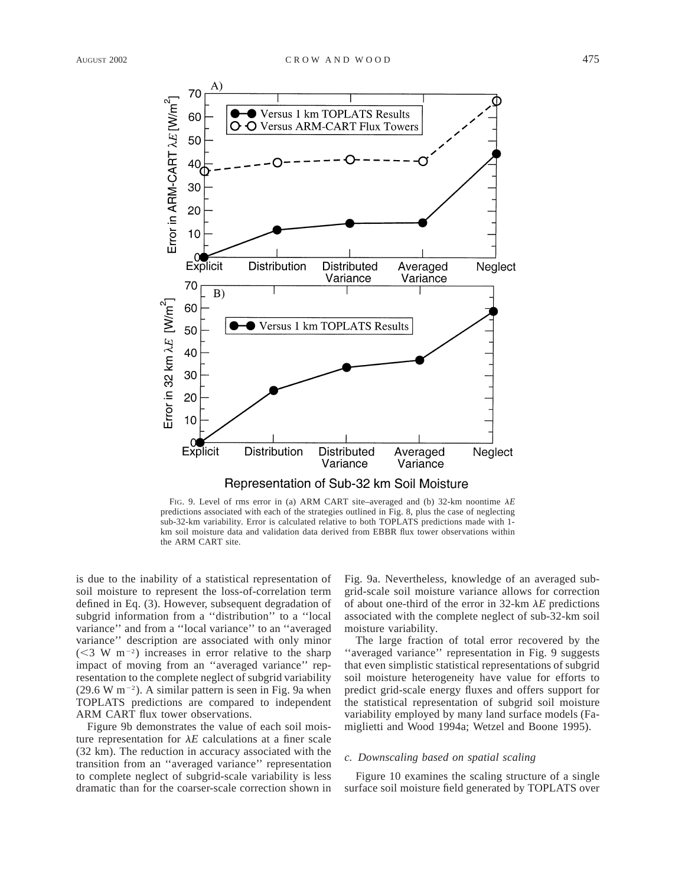

FIG. 9. Level of rms error in (a) ARM CART site–averaged and (b) 32-km noontime  $\lambda E$ predictions associated with each of the strategies outlined in Fig. 8, plus the case of neglecting sub-32-km variability. Error is calculated relative to both TOPLATS predictions made with 1 km soil moisture data and validation data derived from EBBR flux tower observations within the ARM CART site.

is due to the inability of a statistical representation of soil moisture to represent the loss-of-correlation term defined in Eq. (3). However, subsequent degradation of subgrid information from a ''distribution'' to a ''local variance'' and from a ''local variance'' to an ''averaged variance'' description are associated with only minor  $(< 3 \text{ W m}^{-2})$  increases in error relative to the sharp impact of moving from an ''averaged variance'' representation to the complete neglect of subgrid variability  $(29.6 W m<sup>-2</sup>)$ . A similar pattern is seen in Fig. 9a when TOPLATS predictions are compared to independent ARM CART flux tower observations.

Figure 9b demonstrates the value of each soil moisture representation for  $\lambda E$  calculations at a finer scale (32 km). The reduction in accuracy associated with the transition from an ''averaged variance'' representation to complete neglect of subgrid-scale variability is less dramatic than for the coarser-scale correction shown in Fig. 9a. Nevertheless, knowledge of an averaged subgrid-scale soil moisture variance allows for correction of about one-third of the error in  $32$ -km  $\lambda E$  predictions associated with the complete neglect of sub-32-km soil moisture variability.

The large fraction of total error recovered by the "averaged variance" representation in Fig. 9 suggests that even simplistic statistical representations of subgrid soil moisture heterogeneity have value for efforts to predict grid-scale energy fluxes and offers support for the statistical representation of subgrid soil moisture variability employed by many land surface models (Famiglietti and Wood 1994a; Wetzel and Boone 1995).

#### *c. Downscaling based on spatial scaling*

Figure 10 examines the scaling structure of a single surface soil moisture field generated by TOPLATS over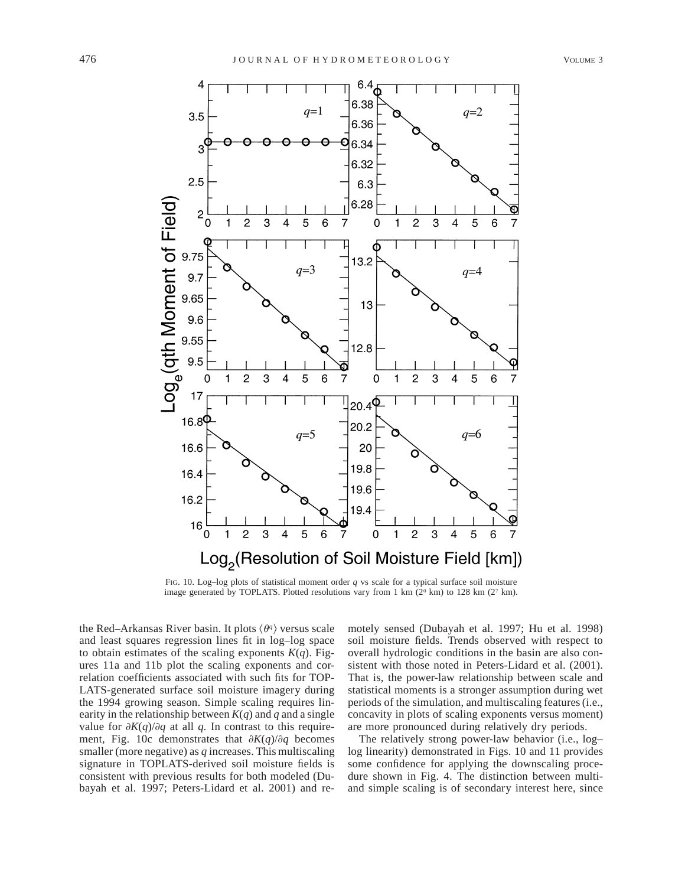

FIG. 10. Log–log plots of statistical moment order *q* vs scale for a typical surface soil moisture image generated by TOPLATS. Plotted resolutions vary from 1 km  $(2^{\circ}$  km) to 128 km  $(2^{\circ}$  km).

the Red–Arkansas River basin. It plots  $\langle \theta^q \rangle$  versus scale and least squares regression lines fit in log–log space to obtain estimates of the scaling exponents  $K(q)$ . Figures 11a and 11b plot the scaling exponents and correlation coefficients associated with such fits for TOP-LATS-generated surface soil moisture imagery during the 1994 growing season. Simple scaling requires linearity in the relationship between  $K(q)$  and *q* and a single value for  $\partial K(q)/\partial q$  at all *q*. In contrast to this requirement, Fig. 10c demonstrates that  $\partial K(q)/\partial q$  becomes smaller (more negative) as *q* increases. This multiscaling signature in TOPLATS-derived soil moisture fields is consistent with previous results for both modeled (Dubayah et al. 1997; Peters-Lidard et al. 2001) and remotely sensed (Dubayah et al. 1997; Hu et al. 1998) soil moisture fields. Trends observed with respect to overall hydrologic conditions in the basin are also consistent with those noted in Peters-Lidard et al. (2001). That is, the power-law relationship between scale and statistical moments is a stronger assumption during wet periods of the simulation, and multiscaling features (i.e., concavity in plots of scaling exponents versus moment) are more pronounced during relatively dry periods.

The relatively strong power-law behavior (i.e., log– log linearity) demonstrated in Figs. 10 and 11 provides some confidence for applying the downscaling procedure shown in Fig. 4. The distinction between multiand simple scaling is of secondary interest here, since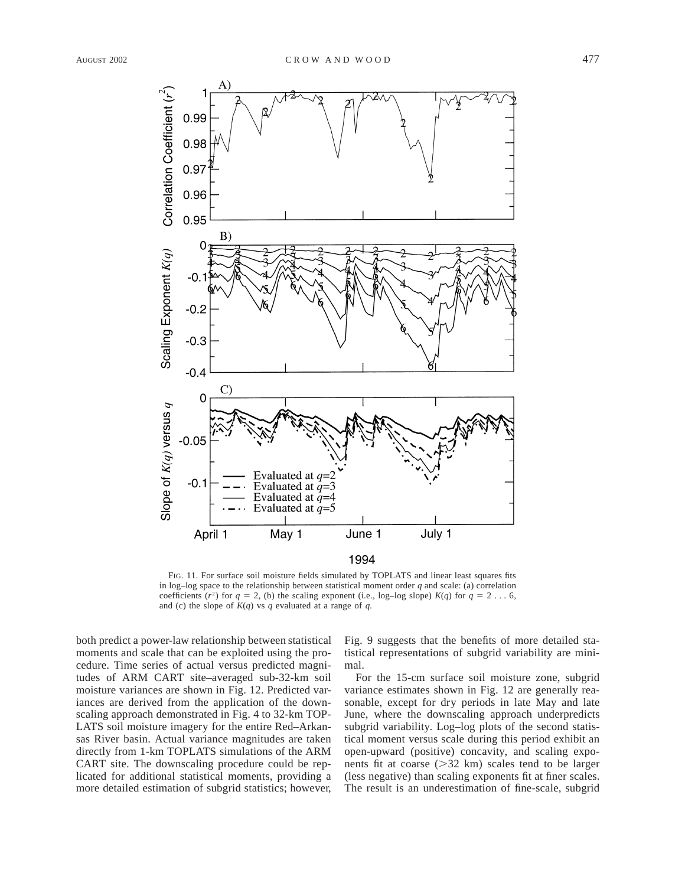

FIG. 11. For surface soil moisture fields simulated by TOPLATS and linear least squares fits in log–log space to the relationship between statistical moment order  $q$  and scale: (a) correlation coefficients  $(r^2)$  for  $q = 2$ , (b) the scaling exponent (i.e., log–log slope)  $K(q)$  for  $q = 2 \ldots 6$ , and (c) the slope of  $K(q)$  vs *q* evaluated at a range of *q*.

both predict a power-law relationship between statistical moments and scale that can be exploited using the procedure. Time series of actual versus predicted magnitudes of ARM CART site–averaged sub-32-km soil moisture variances are shown in Fig. 12. Predicted variances are derived from the application of the downscaling approach demonstrated in Fig. 4 to 32-km TOP-LATS soil moisture imagery for the entire Red–Arkansas River basin. Actual variance magnitudes are taken directly from 1-km TOPLATS simulations of the ARM CART site. The downscaling procedure could be replicated for additional statistical moments, providing a more detailed estimation of subgrid statistics; however,

Fig. 9 suggests that the benefits of more detailed statistical representations of subgrid variability are minimal.

For the 15-cm surface soil moisture zone, subgrid variance estimates shown in Fig. 12 are generally reasonable, except for dry periods in late May and late June, where the downscaling approach underpredicts subgrid variability. Log–log plots of the second statistical moment versus scale during this period exhibit an open-upward (positive) concavity, and scaling exponents fit at coarse  $(>=32 \text{ km})$  scales tend to be larger (less negative) than scaling exponents fit at finer scales. The result is an underestimation of fine-scale, subgrid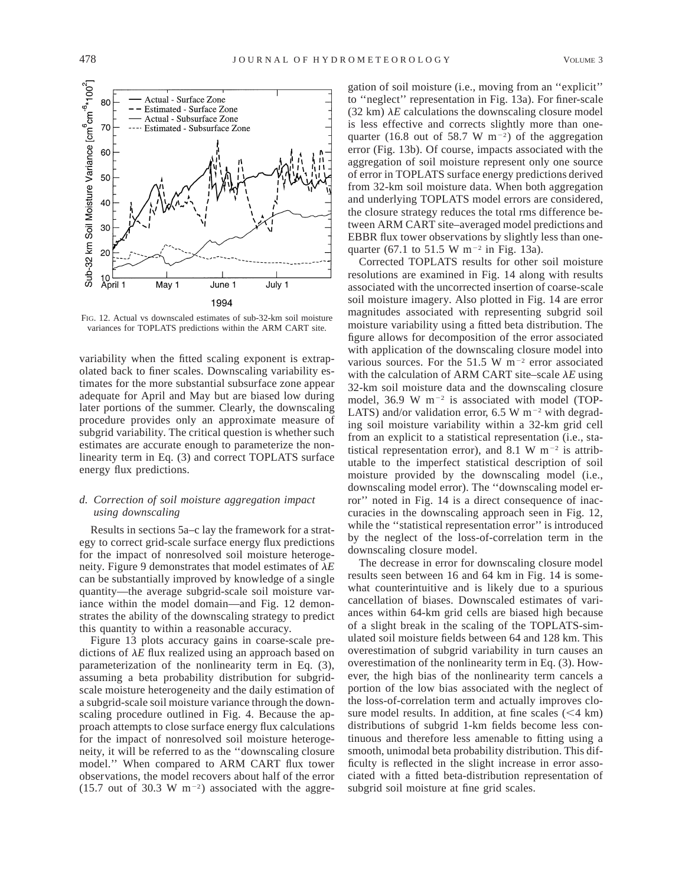

FIG. 12. Actual vs downscaled estimates of sub-32-km soil moisture variances for TOPLATS predictions within the ARM CART site.

variability when the fitted scaling exponent is extrapolated back to finer scales. Downscaling variability estimates for the more substantial subsurface zone appear adequate for April and May but are biased low during later portions of the summer. Clearly, the downscaling procedure provides only an approximate measure of subgrid variability. The critical question is whether such estimates are accurate enough to parameterize the nonlinearity term in Eq. (3) and correct TOPLATS surface energy flux predictions.

# *d. Correction of soil moisture aggregation impact using downscaling*

Results in sections 5a–c lay the framework for a strategy to correct grid-scale surface energy flux predictions for the impact of nonresolved soil moisture heterogeneity. Figure 9 demonstrates that model estimates of  $\lambda E$ can be substantially improved by knowledge of a single quantity—the average subgrid-scale soil moisture variance within the model domain—and Fig. 12 demonstrates the ability of the downscaling strategy to predict this quantity to within a reasonable accuracy.

Figure 13 plots accuracy gains in coarse-scale predictions of  $\lambda E$  flux realized using an approach based on parameterization of the nonlinearity term in Eq. (3), assuming a beta probability distribution for subgridscale moisture heterogeneity and the daily estimation of a subgrid-scale soil moisture variance through the downscaling procedure outlined in Fig. 4. Because the approach attempts to close surface energy flux calculations for the impact of nonresolved soil moisture heterogeneity, it will be referred to as the ''downscaling closure model.'' When compared to ARM CART flux tower observations, the model recovers about half of the error (15.7 out of 30.3 W  $m^{-2}$ ) associated with the aggre-

gation of soil moisture (i.e., moving from an ''explicit'' to ''neglect'' representation in Fig. 13a). For finer-scale (32 km)  $\lambda E$  calculations the downscaling closure model is less effective and corrects slightly more than onequarter (16.8 out of 58.7 W  $m^{-2}$ ) of the aggregation error (Fig. 13b). Of course, impacts associated with the aggregation of soil moisture represent only one source of error in TOPLATS surface energy predictions derived from 32-km soil moisture data. When both aggregation and underlying TOPLATS model errors are considered, the closure strategy reduces the total rms difference between ARM CART site–averaged model predictions and EBBR flux tower observations by slightly less than onequarter (67.1 to 51.5 W m<sup>-2</sup> in Fig. 13a).

Corrected TOPLATS results for other soil moisture resolutions are examined in Fig. 14 along with results associated with the uncorrected insertion of coarse-scale soil moisture imagery. Also plotted in Fig. 14 are error magnitudes associated with representing subgrid soil moisture variability using a fitted beta distribution. The figure allows for decomposition of the error associated with application of the downscaling closure model into various sources. For the 51.5 W  $\text{m}^{-2}$  error associated with the calculation of ARM CART site–scale  $\lambda E$  using 32-km soil moisture data and the downscaling closure model, 36.9 W  $m^{-2}$  is associated with model (TOP-LATS) and/or validation error, 6.5 W m<sup>-2</sup> with degrading soil moisture variability within a 32-km grid cell from an explicit to a statistical representation (i.e., statistical representation error), and 8.1 W  $m^{-2}$  is attributable to the imperfect statistical description of soil moisture provided by the downscaling model (i.e., downscaling model error). The ''downscaling model error'' noted in Fig. 14 is a direct consequence of inaccuracies in the downscaling approach seen in Fig. 12, while the "statistical representation error" is introduced by the neglect of the loss-of-correlation term in the downscaling closure model.

The decrease in error for downscaling closure model results seen between 16 and 64 km in Fig. 14 is somewhat counterintuitive and is likely due to a spurious cancellation of biases. Downscaled estimates of variances within 64-km grid cells are biased high because of a slight break in the scaling of the TOPLATS-simulated soil moisture fields between 64 and 128 km. This overestimation of subgrid variability in turn causes an overestimation of the nonlinearity term in Eq. (3). However, the high bias of the nonlinearity term cancels a portion of the low bias associated with the neglect of the loss-of-correlation term and actually improves closure model results. In addition, at fine scales  $(< 4 \text{ km})$ distributions of subgrid 1-km fields become less continuous and therefore less amenable to fitting using a smooth, unimodal beta probability distribution. This difficulty is reflected in the slight increase in error associated with a fitted beta-distribution representation of subgrid soil moisture at fine grid scales.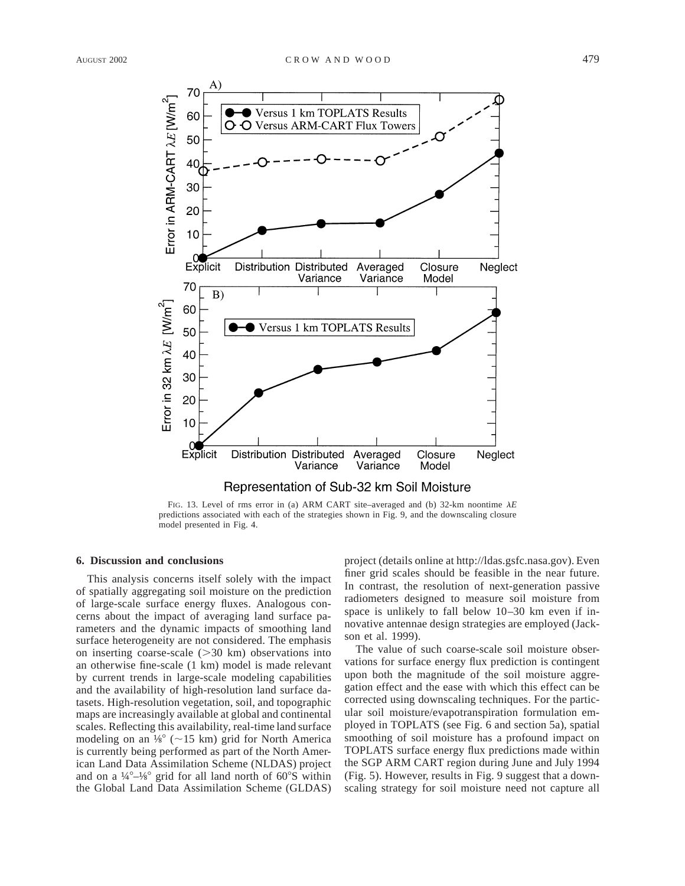

FIG. 13. Level of rms error in (a) ARM CART site–averaged and (b) 32-km noontime  $\lambda E$ predictions associated with each of the strategies shown in Fig. 9, and the downscaling closure model presented in Fig. 4.

## **6. Discussion and conclusions**

This analysis concerns itself solely with the impact of spatially aggregating soil moisture on the prediction of large-scale surface energy fluxes. Analogous concerns about the impact of averaging land surface parameters and the dynamic impacts of smoothing land surface heterogeneity are not considered. The emphasis on inserting coarse-scale  $(>= 30 \text{ km})$  observations into an otherwise fine-scale (1 km) model is made relevant by current trends in large-scale modeling capabilities and the availability of high-resolution land surface datasets. High-resolution vegetation, soil, and topographic maps are increasingly available at global and continental scales. Reflecting this availability, real-time land surface modeling on an  $\frac{1}{8}$ ° (~15 km) grid for North America is currently being performed as part of the North American Land Data Assimilation Scheme (NLDAS) project and on a  $\frac{1}{4}^{\circ}-\frac{1}{8}^{\circ}$  grid for all land north of 60 $^{\circ}$ S within the Global Land Data Assimilation Scheme (GLDAS)

project (details online at http://ldas.gsfc.nasa.gov). Even finer grid scales should be feasible in the near future. In contrast, the resolution of next-generation passive radiometers designed to measure soil moisture from space is unlikely to fall below 10–30 km even if innovative antennae design strategies are employed (Jackson et al. 1999).

The value of such coarse-scale soil moisture observations for surface energy flux prediction is contingent upon both the magnitude of the soil moisture aggregation effect and the ease with which this effect can be corrected using downscaling techniques. For the particular soil moisture/evapotranspiration formulation employed in TOPLATS (see Fig. 6 and section 5a), spatial smoothing of soil moisture has a profound impact on TOPLATS surface energy flux predictions made within the SGP ARM CART region during June and July 1994 (Fig. 5). However, results in Fig. 9 suggest that a downscaling strategy for soil moisture need not capture all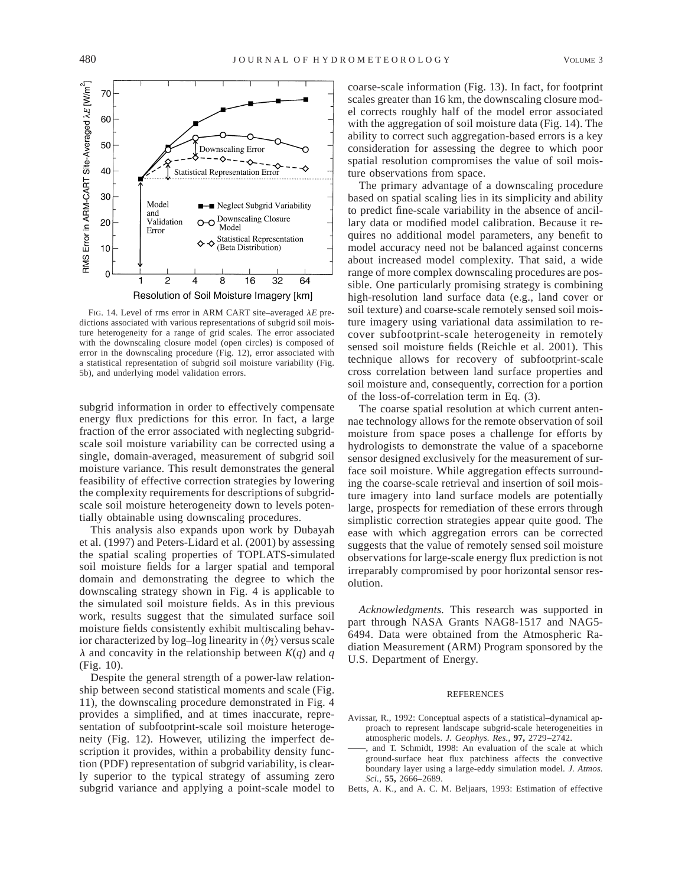

FIG. 14. Level of rms error in ARM CART site–averaged λ*E* predictions associated with various representations of subgrid soil moisture heterogeneity for a range of grid scales. The error associated with the downscaling closure model (open circles) is composed of error in the downscaling procedure (Fig. 12), error associated with a statistical representation of subgrid soil moisture variability (Fig. 5b), and underlying model validation errors.

subgrid information in order to effectively compensate energy flux predictions for this error. In fact, a large fraction of the error associated with neglecting subgridscale soil moisture variability can be corrected using a single, domain-averaged, measurement of subgrid soil moisture variance. This result demonstrates the general feasibility of effective correction strategies by lowering the complexity requirements for descriptions of subgridscale soil moisture heterogeneity down to levels potentially obtainable using downscaling procedures.

This analysis also expands upon work by Dubayah et al. (1997) and Peters-Lidard et al. (2001) by assessing the spatial scaling properties of TOPLATS-simulated soil moisture fields for a larger spatial and temporal domain and demonstrating the degree to which the downscaling strategy shown in Fig. 4 is applicable to the simulated soil moisture fields. As in this previous work, results suggest that the simulated surface soil moisture fields consistently exhibit multiscaling behavior characterized by log–log linearity in  $\langle \theta_{\lambda}^q \rangle$  versus scale  $\lambda$  and concavity in the relationship between  $K(q)$  and  $q$ (Fig. 10).

Despite the general strength of a power-law relationship between second statistical moments and scale (Fig. 11), the downscaling procedure demonstrated in Fig. 4 provides a simplified, and at times inaccurate, representation of subfootprint-scale soil moisture heterogeneity (Fig. 12). However, utilizing the imperfect description it provides, within a probability density function (PDF) representation of subgrid variability, is clearly superior to the typical strategy of assuming zero subgrid variance and applying a point-scale model to coarse-scale information (Fig. 13). In fact, for footprint scales greater than 16 km, the downscaling closure model corrects roughly half of the model error associated with the aggregation of soil moisture data (Fig. 14). The ability to correct such aggregation-based errors is a key consideration for assessing the degree to which poor spatial resolution compromises the value of soil moisture observations from space.

The primary advantage of a downscaling procedure based on spatial scaling lies in its simplicity and ability to predict fine-scale variability in the absence of ancillary data or modified model calibration. Because it requires no additional model parameters, any benefit to model accuracy need not be balanced against concerns about increased model complexity. That said, a wide range of more complex downscaling procedures are possible. One particularly promising strategy is combining high-resolution land surface data (e.g., land cover or soil texture) and coarse-scale remotely sensed soil moisture imagery using variational data assimilation to recover subfootprint-scale heterogeneity in remotely sensed soil moisture fields (Reichle et al. 2001). This technique allows for recovery of subfootprint-scale cross correlation between land surface properties and soil moisture and, consequently, correction for a portion of the loss-of-correlation term in Eq. (3).

The coarse spatial resolution at which current antennae technology allows for the remote observation of soil moisture from space poses a challenge for efforts by hydrologists to demonstrate the value of a spaceborne sensor designed exclusively for the measurement of surface soil moisture. While aggregation effects surrounding the coarse-scale retrieval and insertion of soil moisture imagery into land surface models are potentially large, prospects for remediation of these errors through simplistic correction strategies appear quite good. The ease with which aggregation errors can be corrected suggests that the value of remotely sensed soil moisture observations for large-scale energy flux prediction is not irreparably compromised by poor horizontal sensor resolution.

*Acknowledgments.* This research was supported in part through NASA Grants NAG8-1517 and NAG5- 6494. Data were obtained from the Atmospheric Radiation Measurement (ARM) Program sponsored by the U.S. Department of Energy.

#### REFERENCES

- Avissar, R., 1992: Conceptual aspects of a statistical–dynamical approach to represent landscape subgrid-scale heterogeneities in atmospheric models. *J. Geophys. Res.,* **97,** 2729–2742.
- and T. Schmidt, 1998: An evaluation of the scale at which ground-surface heat flux patchiness affects the convective boundary layer using a large-eddy simulation model. *J. Atmos. Sci.,* **55,** 2666–2689.
- Betts, A. K., and A. C. M. Beljaars, 1993: Estimation of effective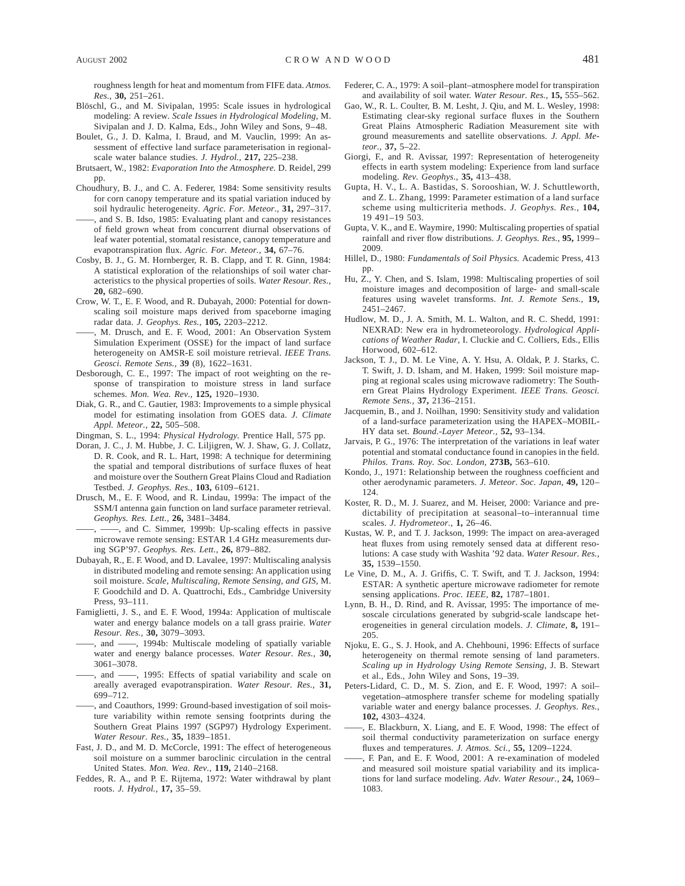roughness length for heat and momentum from FIFE data. *Atmos. Res.,* **30,** 251–261.

- Blöschl, G., and M. Sivipalan, 1995: Scale issues in hydrological modeling: A review. *Scale Issues in Hydrological Modeling,* M. Sivipalan and J. D. Kalma, Eds., John Wiley and Sons, 9–48.
- Boulet, G., J. D. Kalma, I. Braud, and M. Vauclin, 1999: An assessment of effective land surface parameterisation in regionalscale water balance studies. *J. Hydrol.,* **217,** 225–238.
- Brutsaert, W., 1982: *Evaporation Into the Atmosphere.* D. Reidel, 299 pp.
- Choudhury, B. J., and C. A. Federer, 1984: Some sensitivity results for corn canopy temperature and its spatial variation induced by soil hydraulic heterogeneity. *Agric. For. Meteor.,* **31,** 297–317. ——, and S. B. Idso, 1985: Evaluating plant and canopy resistances of field grown wheat from concurrent diurnal observations of leaf water potential, stomatal resistance, canopy temperature and evapotranspiration flux. *Agric. For. Meteor.,* **34,** 67–76.
- Cosby, B. J., G. M. Hornberger, R. B. Clapp, and T. R. Ginn, 1984: A statistical exploration of the relationships of soil water characteristics to the physical properties of soils. *Water Resour. Res.,* **20,** 682–690.
- Crow, W. T., E. F. Wood, and R. Dubayah, 2000: Potential for downscaling soil moisture maps derived from spaceborne imaging radar data. *J. Geophys. Res.,* **105,** 2203–2212.
- ——, M. Drusch, and E. F. Wood, 2001: An Observation System Simulation Experiment (OSSE) for the impact of land surface heterogeneity on AMSR-E soil moisture retrieval. *IEEE Trans. Geosci. Remote Sens.,* **39** (8), 1622–1631.
- Desborough, C. E., 1997: The impact of root weighting on the response of transpiration to moisture stress in land surface schemes. *Mon. Wea. Rev.,* **125,** 1920–1930.
- Diak, G. R., and C. Gautier, 1983: Improvements to a simple physical model for estimating insolation from GOES data. *J. Climate Appl. Meteor.,* **22,** 505–508.
- Dingman, S. L., 1994: *Physical Hydrology.* Prentice Hall, 575 pp.
- Doran, J. C., J. M. Hubbe, J. C. Liljigren, W. J. Shaw, G. J. Collatz, D. R. Cook, and R. L. Hart, 1998: A technique for determining the spatial and temporal distributions of surface fluxes of heat and moisture over the Southern Great Plains Cloud and Radiation Testbed. *J. Geophys. Res.,* **103,** 6109–6121.
- Drusch, M., E. F. Wood, and R. Lindau, 1999a: The impact of the SSM/I antenna gain function on land surface parameter retrieval. *Geophys. Res. Lett.,* **26,** 3481–3484.
	- ——, ——, and C. Simmer, 1999b: Up-scaling effects in passive microwave remote sensing: ESTAR 1.4 GHz measurements during SGP'97. *Geophys. Res. Lett.,* **26,** 879–882.
- Dubayah, R., E. F. Wood, and D. Lavalee, 1997: Multiscaling analysis in distributed modeling and remote sensing: An application using soil moisture. *Scale, Multiscaling, Remote Sensing, and GIS,* M. F. Goodchild and D. A. Quattrochi, Eds., Cambridge University Press, 93–111.
- Famiglietti, J. S., and E. F. Wood, 1994a: Application of multiscale water and energy balance models on a tall grass prairie. *Water Resour. Res.,* **30,** 3079–3093.
- ——, and ——, 1994b: Multiscale modeling of spatially variable water and energy balance processes. *Water Resour. Res.,* **30,** 3061–3078.
- ——, and ——, 1995: Effects of spatial variability and scale on areally averaged evapotranspiration. *Water Resour. Res.,* **31,** 699–712.
- ——, and Coauthors, 1999: Ground-based investigation of soil moisture variability within remote sensing footprints during the Southern Great Plains 1997 (SGP97) Hydrology Experiment. *Water Resour. Res.,* **35,** 1839–1851.
- Fast, J. D., and M. D. McCorcle, 1991: The effect of heterogeneous soil moisture on a summer baroclinic circulation in the central United States. *Mon. Wea. Rev.,* **119,** 2140–2168.
- Feddes, R. A., and P. E. Rijtema, 1972: Water withdrawal by plant roots. *J. Hydrol.,* **17,** 35–59.
- Federer, C. A., 1979: A soil–plant–atmosphere model for transpiration and availability of soil water. *Water Resour. Res.,* **15,** 555–562.
- Gao, W., R. L. Coulter, B. M. Lesht, J. Qiu, and M. L. Wesley, 1998: Estimating clear-sky regional surface fluxes in the Southern Great Plains Atmospheric Radiation Measurement site with ground measurements and satellite observations. *J. Appl. Meteor.,* **37,** 5–22.
- Giorgi, F., and R. Avissar, 1997: Representation of heterogeneity effects in earth system modeling: Experience from land surface modeling. *Rev. Geophys.,* **35,** 413–438.
- Gupta, H. V., L. A. Bastidas, S. Sorooshian, W. J. Schuttleworth, and Z. L. Zhang, 1999: Parameter estimation of a land surface scheme using multicriteria methods. *J. Geophys. Res.,* **104,** 19 491–19 503.
- Gupta, V. K., and E. Waymire, 1990: Multiscaling properties of spatial rainfall and river flow distributions. *J. Geophys. Res.,* **95,** 1999– 2009.
- Hillel, D., 1980: *Fundamentals of Soil Physics.* Academic Press, 413 pp.
- Hu, Z., Y. Chen, and S. Islam, 1998: Multiscaling properties of soil moisture images and decomposition of large- and small-scale features using wavelet transforms. *Int. J. Remote Sens.,* **19,** 2451–2467.
- Hudlow, M. D., J. A. Smith, M. L. Walton, and R. C. Shedd, 1991: NEXRAD: New era in hydrometeorology. *Hydrological Applications of Weather Radar,* I. Cluckie and C. Colliers, Eds., Ellis Horwood, 602–612.
- Jackson, T. J., D. M. Le Vine, A. Y. Hsu, A. Oldak, P. J. Starks, C. T. Swift, J. D. Isham, and M. Haken, 1999: Soil moisture mapping at regional scales using microwave radiometry: The Southern Great Plains Hydrology Experiment. *IEEE Trans. Geosci. Remote Sens.,* **37,** 2136–2151.
- Jacquemin, B., and J. Noilhan, 1990: Sensitivity study and validation of a land-surface parameterization using the HAPEX–MOBIL-HY data set. *Bound.-Layer Meteor.,* **52,** 93–134.
- Jarvais, P. G., 1976: The interpretation of the variations in leaf water potential and stomatal conductance found in canopies in the field. *Philos. Trans. Roy. Soc. London,* **273B,** 563–610.
- Kondo, J., 1971: Relationship between the roughness coefficient and other aerodynamic parameters. *J. Meteor. Soc. Japan,* **49,** 120– 124.
- Koster, R. D., M. J. Suarez, and M. Heiser, 2000: Variance and predictability of precipitation at seasonal–to–interannual time scales. *J. Hydrometeor.,* **1,** 26–46.
- Kustas, W. P., and T. J. Jackson, 1999: The impact on area-averaged heat fluxes from using remotely sensed data at different resolutions: A case study with Washita '92 data. *Water Resour. Res.,* **35,** 1539–1550.
- Le Vine, D. M., A. J. Griffis, C. T. Swift, and T. J. Jackson, 1994: ESTAR: A synthetic aperture microwave radiometer for remote sensing applications. *Proc. IEEE,* **82,** 1787–1801.
- Lynn, B. H., D. Rind, and R. Avissar, 1995: The importance of mesoscale circulations generated by subgrid-scale landscape heterogeneities in general circulation models. *J. Climate,* **8,** 191– 205.
- Njoku, E. G., S. J. Hook, and A. Chehbouni, 1996: Effects of surface heterogeneity on thermal remote sensing of land parameters. *Scaling up in Hydrology Using Remote Sensing,* J. B. Stewart et al., Eds., John Wiley and Sons, 19–39.
- Peters-Lidard, C. D., M. S. Zion, and E. F. Wood, 1997: A soil– vegetation–atmosphere transfer scheme for modeling spatially variable water and energy balance processes. *J. Geophys. Res.,* **102,** 4303–4324.
- ——, E. Blackburn, X. Liang, and E. F. Wood, 1998: The effect of soil thermal conductivity parameterization on surface energy fluxes and temperatures. *J. Atmos. Sci.,* **55,** 1209–1224.
- ——, F. Pan, and E. F. Wood, 2001: A re-examination of modeled and measured soil moisture spatial variability and its implications for land surface modeling. *Adv. Water Resour.,* **24,** 1069– 1083.